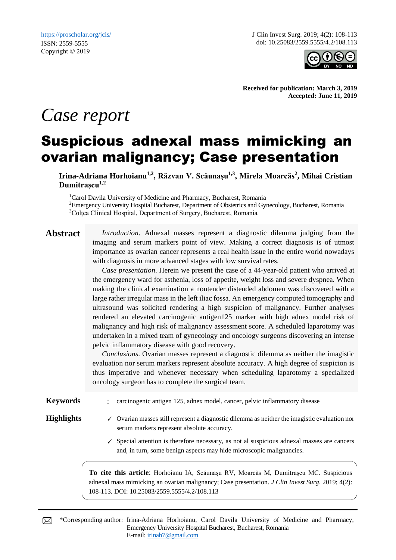J Clin Invest Surg. 2019; 4(2): 108-113 doi: 10.25083/2559.5555/4.2/108.113



**Received for publication: March 3, 2019 Accepted: June 11, 2019**

# *Case report*

## Suspicious adnexal mass mimicking an ovarian malignancy; Case presentation

**Irina-Adriana Horhoianu1,2, Răzvan V. Scăunașu1,3, Mirela Moarcăs<sup>2</sup> , Mihai Cristian Dumitrașcu1,2**

<sup>1</sup>Carol Davila University of Medicine and Pharmacy, Bucharest, Romania <sup>2</sup>Emergency University Hospital Bucharest, Department of Obstetrics and Gynecology, Bucharest, Romania <sup>3</sup>Colțea Clinical Hospital, Department of Surgery, Bucharest, Romania

**Abstract** *Introduction*. Adnexal masses represent a diagnostic dilemma judging from the imaging and serum markers point of view. Making a correct diagnosis is of utmost importance as ovarian cancer represents a real health issue in the entire world nowadays with diagnosis in more advanced stages with low survival rates.

> *Case presentation*. Herein we present the case of a 44-year-old patient who arrived at the emergency ward for asthenia, loss of appetite, weight loss and severe dyspnea. When making the clinical examination a nontender distended abdomen was discovered with a large rather irregular mass in the left iliac fossa. An emergency computed tomography and ultrasound was solicited rendering a high suspicion of malignancy. Further analyses rendered an elevated carcinogenic antigen125 marker with high adnex model risk of malignancy and high risk of malignancy assessment score. A scheduled laparotomy was undertaken in a mixed team of gynecology and oncology surgeons discovering an intense pelvic inflammatory disease with good recovery.

> *Conclusions*. Ovarian masses represent a diagnostic dilemma as neither the imagistic evaluation nor serum markers represent absolute accuracy. A high degree of suspicion is thus imperative and whenever necessary when scheduling laparotomy a specialized oncology surgeon has to complete the surgical team.

**Keywords** : carcinogenic antigen 125, adnex model, cancer, pelvic inflammatory disease

- **Highlights**  $\checkmark$  Ovarian masses still represent a diagnostic dilemma as neither the imagistic evaluation nor serum markers represent absolute accuracy.
	- $\checkmark$  Special attention is therefore necessary, as not al suspicious adnexal masses are cancers and, in turn, some benign aspects may hide microscopic malignancies.

**To cite this article**: Horhoianu IA, Scăunașu RV, Moarcăs M, Dumitrașcu MC. Suspicious adnexal mass mimicking an ovarian malignancy; Case presentation. *J Clin Invest Surg*. 2019; 4(2): 108-113. DOI: 10.25083/2559.5555/4.2/108.113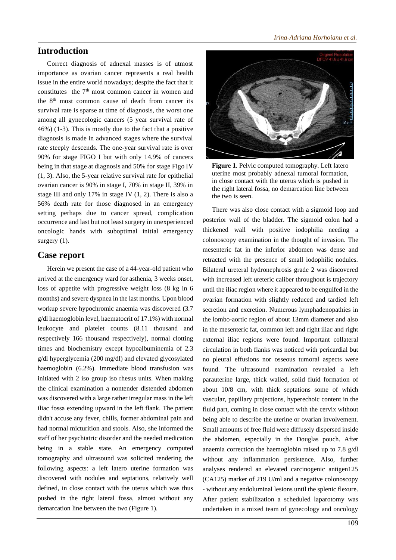### **Introduction**

Correct diagnosis of adnexal masses is of utmost importance as ovarian cancer represents a real health issue in the entire world nowadays; despite the fact that it constitutes the  $7<sup>th</sup>$  most common cancer in women and the  $8<sup>th</sup>$  most common cause of death from cancer its survival rate is sparse at time of diagnosis, the worst one among all gynecologic cancers (5 year survival rate of 46%) (1-3). This is mostly due to the fact that a positive diagnosis is made in advanced stages where the survival rate steeply descends. The one-year survival rate is over 90% for stage FIGO I but with only 14.9% of cancers being in that stage at diagnosis and 50% for stage Figo IV (1, 3). Also, the 5-year relative survival rate for epithelial ovarian cancer is 90% in stage I, 70% in stage II, 39% in stage III and only 17% in stage IV (1, 2). There is also a 56% death rate for those diagnosed in an emergency setting perhaps due to cancer spread, complication occurrence and last but not least surgery in unexperienced oncologic hands with suboptimal initial emergency surgery  $(1)$ .

### **Case report**

Herein we present the case of a 44-year-old patient who arrived at the emergency ward for asthenia, 3 weeks onset, loss of appetite with progressive weight loss (8 kg in 6 months) and severe dyspnea in the last months. Upon blood workup severe hypochromic anaemia was discovered (3.7 g/dl haemoglobin level, haematocrit of 17.1%) with normal leukocyte and platelet counts (8.11 thousand and respectively 166 thousand respectively), normal clotting times and biochemistry except hypoalbuminemia of 2.3 g/dl hyperglycemia (200 mg/dl) and elevated glycosylated haemoglobin (6.2%). Immediate blood transfusion was initiated with 2 iso group iso rhesus units. When making the clinical examination a nontender distended abdomen was discovered with a large rather irregular mass in the left iliac fossa extending upward in the left flank. The patient didn't accuse any fever, chills, former abdominal pain and had normal micturition and stools. Also, she informed the staff of her psychiatric disorder and the needed medication being in a stable state. An emergency computed tomography and ultrasound was solicited rendering the following aspects: a left latero uterine formation was discovered with nodules and septations, relatively well defined, in close contact with the uterus which was thus pushed in the right lateral fossa, almost without any demarcation line between the two (Figure 1).



**Figure 1**. Pelvic computed tomography. Left latero uterine most probably adnexal tumoral formation, in close contact with the uterus which is pushed in the right lateral fossa, no demarcation line between the two is seen.

There was also close contact with a sigmoid loop and posterior wall of the bladder. The sigmoid colon had a thickened wall with positive iodophilia needing a colonoscopy examination in the thought of invasion. The mesenteric fat in the inferior abdomen was dense and retracted with the presence of small iodophilic nodules. Bilateral ureteral hydronephrosis grade 2 was discovered with increased left ureteric caliber throughout is trajectory until the iliac region where it appeared to be engulfed in the ovarian formation with slightly reduced and tardied left secretion and excretion. Numerous lymphadenopathies in the lombo-aortic region of about 13mm diameter and also in the mesenteric fat, common left and right iliac and right external iliac regions were found. Important collateral circulation in both flanks was noticed with pericardial but no pleural effusions nor osseous tumoral aspects were found. The ultrasound examination revealed a left parauterine large, thick walled, solid fluid formation of about 10/8 cm, with thick septations some of which vascular, papillary projections, hyperechoic content in the fluid part, coming in close contact with the cervix without being able to describe the uterine or ovarian involvement. Small amounts of free fluid were diffusely dispersed inside the abdomen, especially in the Douglas pouch. After anaemia correction the haemoglobin raised up to 7.8 g/dl without any inflammation persistence. Also, further analyses rendered an elevated carcinogenic antigen125 (CA125) marker of 219 U/ml and a negative colonoscopy - without any endoluminal lesions until the splenic flexure. After patient stabilization a scheduled laparotomy was undertaken in a mixed team of gynecology and oncology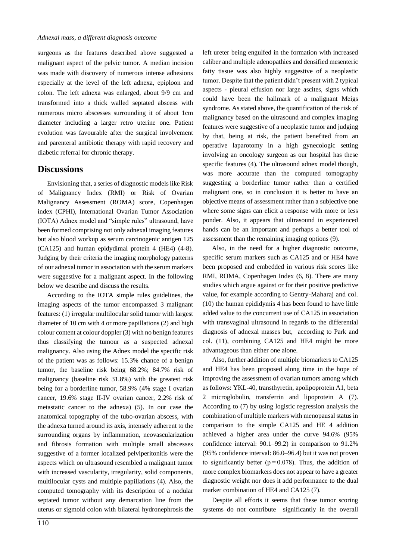surgeons as the features described above suggested a malignant aspect of the pelvic tumor. A median incision was made with discovery of numerous intense adhesions especially at the level of the left adnexa, epiploon and colon. The left adnexa was enlarged, about 9/9 cm and transformed into a thick walled septated abscess with numerous micro abscesses surrounding it of about 1cm diameter including a larger retro uterine one. Patient evolution was favourable after the surgical involvement and parenteral antibiotic therapy with rapid recovery and diabetic referral for chronic therapy.

#### **Discussions**

Envisioning that, a series of diagnostic models like Risk of Malignancy Index (RMI) or Risk of Ovarian Malignancy Assessment (ROMA) score, Copenhagen index (CPHI), International Ovarian Tumor Association (IOTA) Adnex model and "simple rules" ultrasound, have been formed comprising not only adnexal imaging features but also blood workup as serum carcinogenic antigen 125 (CA125) and human epidydimal protein 4 (HE4) (4-8). Judging by their criteria the imaging morphology patterns of our adnexal tumor in association with the serum markers were suggestive for a malignant aspect. In the following below we describe and discuss the results.

According to the IOTA simple rules guidelines, the imaging aspects of the tumor encompassed 3 malignant features: (1) irregular multilocular solid tumor with largest diameter of 10 cm with 4 or more papillations (2) and high colour content at colour doppler (3) with no benign features thus classifying the tumour as a suspected adnexal malignancy. Also using the Adnex model the specific risk of the patient was as follows: 15.3% chance of a benign tumor, the baseline risk being 68.2%; 84.7% risk of malignancy (baseline risk 31.8%) with the greatest risk being for a borderline tumor, 58.9% (4% stage I ovarian cancer, 19.6% stage II-IV ovarian cancer, 2.2% risk of metastatic cancer to the adnexa) (5). In our case the anatomical topography of the tubo-ovarian abscess, with the adnexa turned around its axis, intensely adherent to the surrounding organs by inflammation, neovascularization and fibrosis formation with multiple small abscesses suggestive of a former localized pelviperitonitis were the aspects which on ultrasound resembled a malignant tumor with increased vascularity, irregularity, solid components, multilocular cysts and multiple papillations (4). Also, the computed tomography with its description of a nodular septated tumor without any demarcation line from the uterus or sigmoid colon with bilateral hydronephrosis the left ureter being engulfed in the formation with increased caliber and multiple adenopathies and densified mesenteric fatty tissue was also highly suggestive of a neoplastic tumor. Despite that the patient didn't present with 2 typical aspects - pleural effusion nor large ascites, signs which could have been the hallmark of a malignant Meigs syndrome. As stated above, the quantification of the risk of malignancy based on the ultrasound and complex imaging features were suggestive of a neoplastic tumor and judging by that, being at risk, the patient benefited from an operative laparotomy in a high gynecologic setting involving an oncology surgeon as our hospital has these specific features (4). The ultrasound adnex model though, was more accurate than the computed tomography suggesting a borderline tumor rather than a certified malignant one, so in conclusion it is better to have an objective means of assessment rather than a subjective one where some signs can elicit a response with more or less ponder. Also, it appears that ultrasound in experienced hands can be an important and perhaps a better tool of assessment than the remaining imaging options (9).

Also, in the need for a higher diagnostic outcome, specific serum markers such as CA125 and or HE4 have been proposed and embedded in various risk scores like RMI, ROMA, Copenhagen Index (6, 8). There are many studies which argue against or for their positive predictive value, for example according to Gentry-Maharaj and col. (10) the human epididymis 4 has been found to have little added value to the concurrent use of CA125 in association with transvaginal ultrasound in regards to the differential diagnosis of adnexal masses but, according to Park and col. (11), combining CA125 and HE4 might be more advantageous than either one alone.

Also, further addition of multiple biomarkers to CA125 and HE4 has been proposed along time in the hope of improving the assessment of ovarian tumors among which as follows: YKL-40, transthyretin, apolipoprotein A1, beta 2 microglobulin, transferrin and lipoprotein A (7). According to (7) by using logistic regression analysis the combination of multiple markers with menopausal status in comparison to the simple CA125 and HE 4 addition achieved a higher area under the curve 94.6% (95% confidence interval: 90.1–99.2) in comparison to 91.2% (95% confidence interval: 86.0–96.4) but it was not proven to significantly better ( $p = 0.078$ ). Thus, the addition of more complex biomarkers does not appear to have a greater diagnostic weight nor does it add performance to the dual marker combination of HE4 and CA125 (7).

Despite all efforts it seems that these tumor scoring systems do not contribute significantly in the overall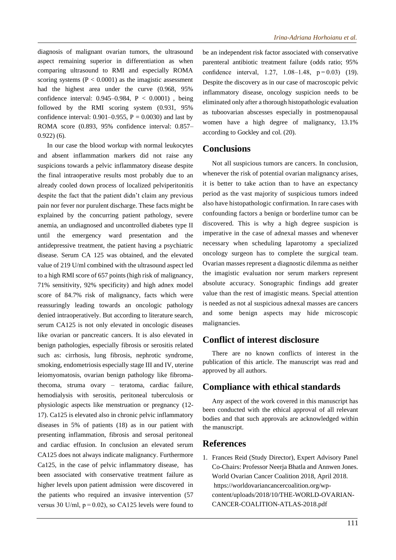diagnosis of malignant ovarian tumors, the ultrasound aspect remaining superior in differentiation as when comparing ultrasound to RMI and especially ROMA scoring systems  $(P < 0.0001)$  as the imagistic assessment had the highest area under the curve (0.968, 95% confidence interval: 0.945–0.984, P < 0.0001) , being followed by the RMI scoring system (0.931, 95% confidence interval:  $0.901-0.955$ ,  $P = 0.0030$ ) and last by ROMA score (0.893, 95% confidence interval: 0.857– 0.922) (6).

In our case the blood workup with normal leukocytes and absent inflammation markers did not raise any suspicions towards a pelvic inflammatory disease despite the final intraoperative results most probably due to an already cooled down process of localized pelviperitonitis despite the fact that the patient didn't claim any previous pain nor fever nor purulent discharge. These facts might be explained by the concurring patient pathology, severe anemia, an undiagnosed and uncontrolled diabetes type II until the emergency ward presentation and the antidepressive treatment, the patient having a psychiatric disease. Serum CA 125 was obtained, and the elevated value of 219 U/ml combined with the ultrasound aspect led to a high RMI score of 657 points (high risk of malignancy, 71% sensitivity, 92% specificity) and high adnex model score of 84.7% risk of malignancy, facts which were reassuringly leading towards an oncologic pathology denied intraoperatively. But according to literature search, serum CA125 is not only elevated in oncologic diseases like ovarian or pancreatic cancers. It is also elevated in benign pathologies, especially fibrosis or serositis related such as: cirrhosis, lung fibrosis, nephrotic syndrome, smoking, endometriosis especially stage III and IV, uterine leiomyomatosis, ovarian benign pathology like fibromathecoma, struma ovary – teratoma, cardiac failure, hemodialysis with serositis, peritoneal tuberculosis or physiologic aspects like menstruation or pregnancy (12- 17). Ca125 is elevated also in chronic pelvic inflammatory diseases in 5% of patients (18) as in our patient with presenting inflammation, fibrosis and serosal peritoneal and cardiac effusion. In conclusion an elevated serum CA125 does not always indicate malignancy. Furthermore Ca125, in the case of pelvic inflammatory disease, has been associated with conservative treatment failure as higher levels upon patient admission were discovered in the patients who required an invasive intervention (57 versus 30 U/ml,  $p = 0.02$ ), so CA125 levels were found to

be an independent risk factor associated with conservative parenteral antibiotic treatment failure (odds ratio; 95% confidence interval, 1.27, 1.08–1.48,  $p = 0.03$  (19). Despite the discovery as in our case of macroscopic pelvic inflammatory disease, oncology suspicion needs to be eliminated only after a thorough histopathologic evaluation as tuboovarian abscesses especially in postmenopausal women have a high degree of malignancy, 13.1% according to Gockley and col. (20).

#### **Conclusions**

Not all suspicious tumors are cancers. In conclusion, whenever the risk of potential ovarian malignancy arises, it is better to take action than to have an expectancy period as the vast majority of suspicious tumors indeed also have histopathologic confirmation. In rare cases with confounding factors a benign or borderline tumor can be discovered. This is why a high degree suspicion is imperative in the case of adnexal masses and whenever necessary when scheduling laparotomy a specialized oncology surgeon has to complete the surgical team. Ovarian masses represent a diagnostic dilemma as neither the imagistic evaluation nor serum markers represent absolute accuracy. Sonographic findings add greater value than the rest of imagistic means. Special attention is needed as not al suspicious adnexal masses are cancers and some benign aspects may hide microscopic malignancies.

#### **Conflict of interest disclosure**

There are no known conflicts of interest in the publication of this article. The manuscript was read and approved by all authors.

#### **Compliance with ethical standards**

Any aspect of the work covered in this manuscript has been conducted with the ethical approval of all relevant bodies and that such approvals are acknowledged within the manuscript.

#### **References**

1. Frances Reid (Study Director), Expert Advisory Panel Co-Chairs: Professor Neerja Bhatla and Annwen Jones. World Ovarian Cancer Coalition 2018, April 2018. https://worldovariancancercoalition.org/wpcontent/uploads/2018/10/THE-WORLD-OVARIAN-CANCER-COALITION-ATLAS-2018.pdf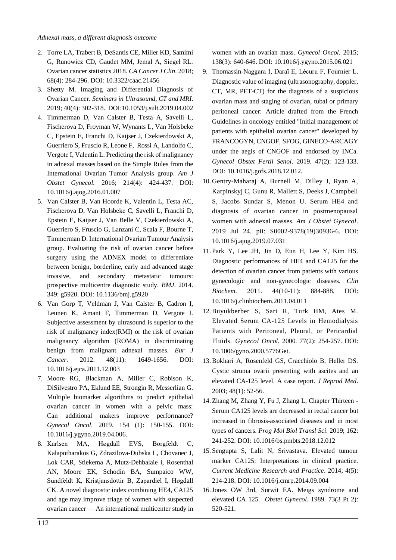- 2. Torre LA, Trabert B, DeSantis CE, Miller KD, Samimi G, Runowicz CD, Gaudet MM, Jemal A, Siegel RL. Ovarian cancer statistics 2018. *CA Cancer J Clin*. 2018; 68(4): 284-296. DOI: 10.3322/caac.21456
- 3. Shetty M. Imaging and Differential Diagnosis of Ovarian Cancer. *Seminars in Ultrasound, CT and MRI*. 2019; 40(4): 302-318. DOI:10.1053/j.sult.2019.04.002
- 4. Timmerman D, Van Calster B, Testa A, Savelli L, Fischerova D, Froyman W, Wynants L, Van Holsbeke C, Epstein E, Franchi D, Kaijser J, Czekierdowski A, Guerriero S, Fruscio R, Leone F, Rossi A, Landolfo C, Vergote I, Valentin L. Predicting the risk of malignancy in adnexal masses based on the Simple Rules from the International Ovarian Tumor Analysis group. *Am J Obstet Gynecol.* 2016; 214(4): 424-437. DOI: 10.1016/j.ajog.2016.01.007
- 5. Van Calster B, Van Hoorde K, Valentin L, Testa AC, Fischerova D, Van Holsbeke C, Savelli L, Franchi D, Epstein E, Kaijser J, Van Belle V, Czekierdowski A, Guerriero S, Fruscio G, Lanzani C, Scala F, Bourne T, Timmerman D. International Ovarian Tumour Analysis group. Evaluating the risk of ovarian cancer before surgery using the ADNEX model to differentiate between benign, borderline, early and advanced stage invasive, and secondary metastatic tumours: prospective multicentre diagnostic study. *BMJ*. 2014. 349: g5920. DOI: 10.1136/bmj.g5920
- 6. Van Gorp T, Veldman J, Van Calster B, Cadron I, Leunen K, Amant F, Timmerman D, Vergote I. Subjective assessment by ultrasound is superior to the risk of malignancy index(RMI) or the risk of ovarian malignancy algorithm (ROMA) in discriminating benign from malignant adnexal masses. *Eur J Cancer*. 2012. 48(11): 1649-1656. DOI: 10.1016/j.ejca.2011.12.003
- 7. Moore RG, Blackman A, Miller C, Robison K, DiSilvestro PA, Eklund EE, Strongin R, Messerlian G. Multiple biomarker algorithms to predict epithelial ovarian cancer in women with a pelvic mass: Can additional makers improve performance? *Gynecol Oncol*. 2019. 154 (1): 150-155. DOI: 10.1016/j.ygyno.2019.04.006.
- 8. Karlsen MA, Høgdall EVS, Borgfeldt C, Kalapotharakos G, Zdrazilova-Dubska L, Chovanec J, Lok CAR, Stiekema A, Mutz-Dehbalaie i, Rosenthal AN, Moore EK, Schodin BA, Sumpaico WW, Sundfeldt K, Kristjansdottir B, Zapardiel I, Høgdall CK. A novel diagnostic index combining HE4, CA125 and age may improve triage of women with suspected ovarian cancer — An international multicenter study in

women with an ovarian mass. *Gynecol Oncol*. 2015; 138(3): 640-646. DOI: 10.1016/j.ygyno.2015.06.021

- 9. Thomassin-Naggara I, Daraï E, Lécuru F, Fournier L. Diagnostic value of imaging (ultrasonography, doppler, CT, MR, PET-CT) for the diagnosis of a suspicious ovarian mass and staging of ovarian, tubal or primary peritoneal cancer: Article drafted from the French Guidelines in oncology entitled "Initial management of patients with epithelial ovarian cancer" developed by FRANCOGYN, CNGOF, SFOG, GINECO-ARCAGY under the aegis of CNGOF and endorsed by INCa. *Gynecol Obstet Fertil Senol*. 2019. 47(2): 123-133. DOI: 10.1016/j.gofs.2018.12.012.
- 10. Gentry-Maharaj A, Burnell M, Dilley J, Ryan A, Karpinskyj C, Gunu R, Mallett S, Deeks J, Campbell S, Jacobs Sundar S, Menon U. Serum HE4 and diagnosis of ovarian cancer in postmenopausal women with adnexal masses. *Am J Obstet Gynecol*. 2019 Jul 24. pii: S0002-9378(19)30936-6. DOI: 10.1016/j.ajog.2019.07.031
- 11.Park Y, Lee JH, Jin D, Eun H, Lee Y, Kim HS. Diagnostic performances of HE4 and CA125 for the detection of ovarian cancer from patients with various gynecologic and non-gynecologic diseases. *Clin Biochem*. 2011. 44(10-11): 884-888. DOI: 10.1016/j.clinbiochem.2011.04.011
- 12. Buyukberber S, Sari R, Turk HM, Ates M. Elevated Serum CA-125 Levels in Hemodialysis Patients with Peritoneal, Pleural, or Pericardial Fluids. *Gynecol Oncol.* 2000. 77(2): 254-257. DOI: 10.1006/gyno.2000.5776Get.
- 13. Bokhari A, Rosenfeld GS, Cracchiolo B, Heller DS. Cystic struma ovarii presenting with ascites and an elevated CA-125 level. A case report. *J Reprod Med*. 2003; 48(1): 52-56.
- 14. Zhang M, Zhang Y, Fu J, Zhang L, Chapter Thirteen Serum CA125 levels are decreased in rectal cancer but increased in fibrosis-associated diseases and in most types of cancers. *Prog Mol Biol Transl Sci*. 2019; 162: 241-252. DOI: 10.1016/bs.pmbts.2018.12.012
- 15.Sengupta S, Lalit N, Srivastava. Elevated tumour marker CA125: Interpretations in clinical practice. *Current Medicine Research and Practice*. 2014; 4(5): 214-218. DOI: 10.1016/j.cmrp.2014.09.004
- 16.Jones OW 3rd, Surwit EA. Meigs syndrome and elevated CA 125. *Obstet Gynecol*. 1989. 73(3 Pt 2): 520-521.